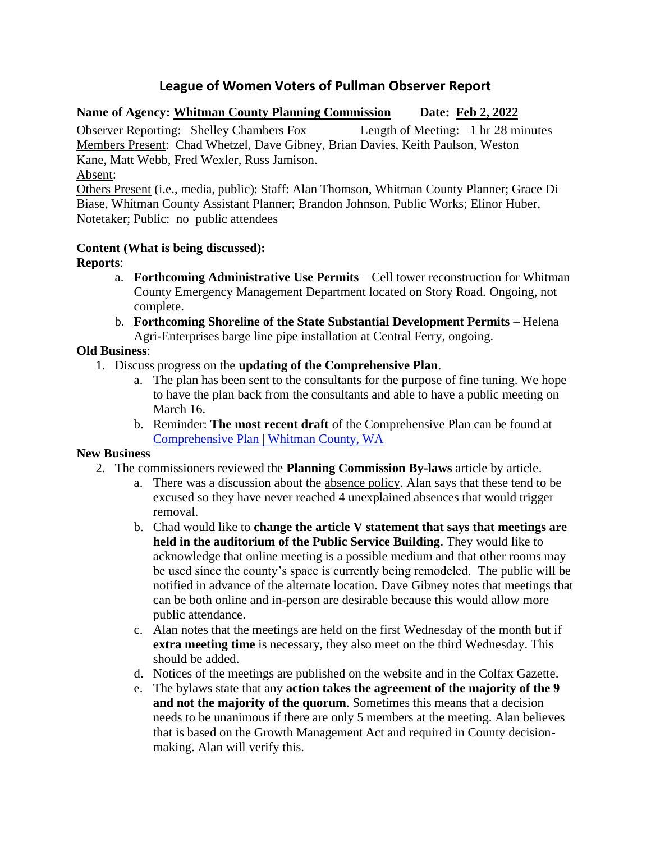# **League of Women Voters of Pullman Observer Report**

# **Name of Agency: Whitman County Planning Commission Date: Feb 2, 2022**

Observer Reporting: Shelley Chambers Fox Length of Meeting: 1 hr 28 minutes Members Present: Chad Whetzel, Dave Gibney, Brian Davies, Keith Paulson, Weston Kane, Matt Webb, Fred Wexler, Russ Jamison.

Absent:

Others Present (i.e., media, public): Staff: Alan Thomson, Whitman County Planner; Grace Di Biase, Whitman County Assistant Planner; Brandon Johnson, Public Works; Elinor Huber, Notetaker; Public: no public attendees

# **Content (What is being discussed):**

**Reports**:

- a. **Forthcoming Administrative Use Permits** Cell tower reconstruction for Whitman County Emergency Management Department located on Story Road. Ongoing, not complete.
- b. **Forthcoming Shoreline of the State Substantial Development Permits** Helena Agri-Enterprises barge line pipe installation at Central Ferry, ongoing.

## **Old Business**:

- 1. Discuss progress on the **updating of the Comprehensive Plan**.
	- a. The plan has been sent to the consultants for the purpose of fine tuning. We hope to have the plan back from the consultants and able to have a public meeting on March 16.
	- b. Reminder: **The most recent draft** of the Comprehensive Plan can be found at [Comprehensive Plan | Whitman County, WA](https://whitmancounty.org/513/Comprehensive-Plan)

### **New Business**

- 2. The commissioners reviewed the **Planning Commission By-laws** article by article.
	- a. There was a discussion about the absence policy. Alan says that these tend to be excused so they have never reached 4 unexplained absences that would trigger removal.
	- b. Chad would like to **change the article V statement that says that meetings are held in the auditorium of the Public Service Building**. They would like to acknowledge that online meeting is a possible medium and that other rooms may be used since the county's space is currently being remodeled. The public will be notified in advance of the alternate location. Dave Gibney notes that meetings that can be both online and in-person are desirable because this would allow more public attendance.
	- c. Alan notes that the meetings are held on the first Wednesday of the month but if **extra meeting time** is necessary, they also meet on the third Wednesday. This should be added.
	- d. Notices of the meetings are published on the website and in the Colfax Gazette.
	- e. The bylaws state that any **action takes the agreement of the majority of the 9 and not the majority of the quorum**. Sometimes this means that a decision needs to be unanimous if there are only 5 members at the meeting. Alan believes that is based on the Growth Management Act and required in County decisionmaking. Alan will verify this.